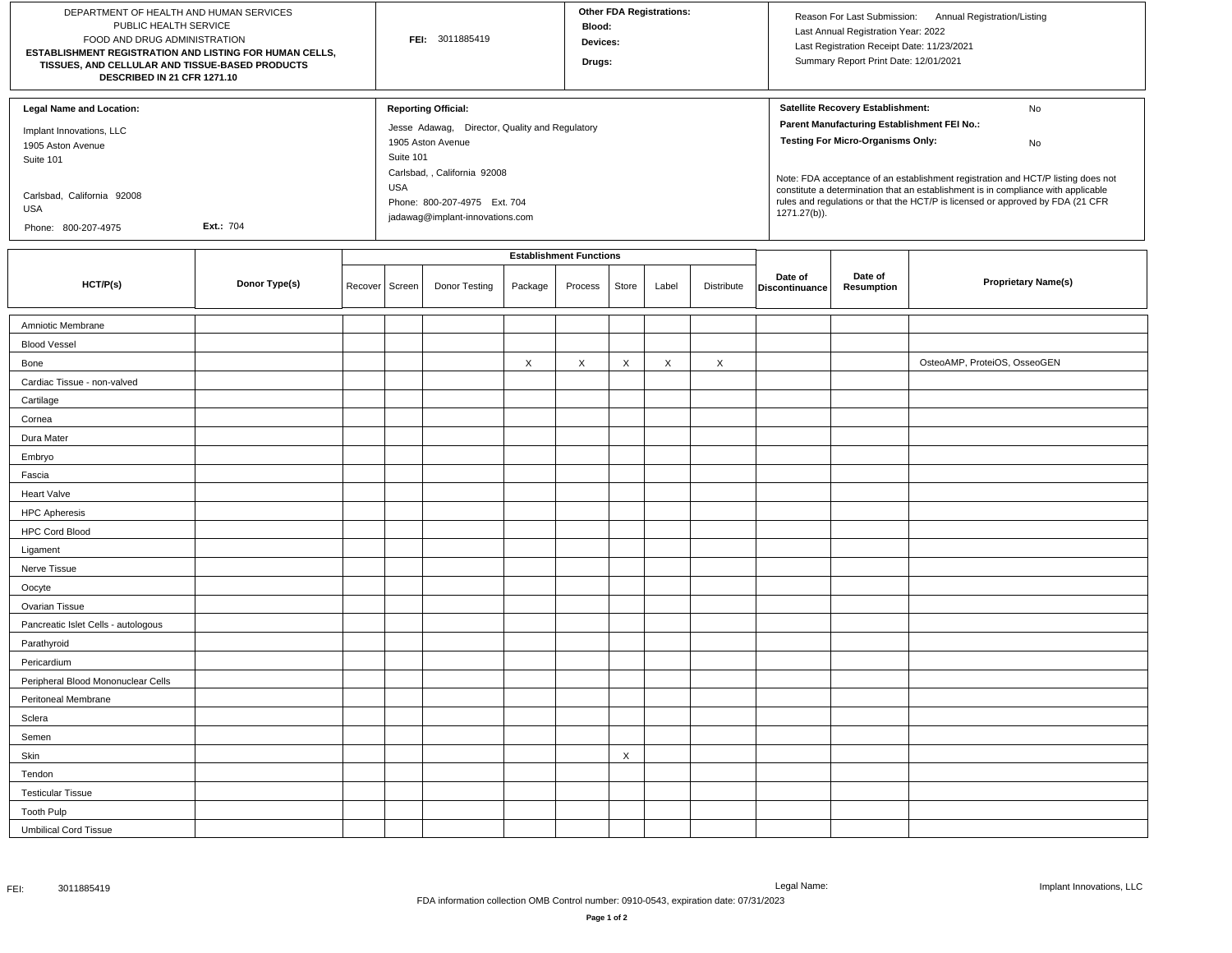| DEPARTMENT OF HEALTH AND HUMAN SERVICES<br>PUBLIC HEALTH SERVICE<br>FOOD AND DRUG ADMINISTRATION<br>ESTABLISHMENT REGISTRATION AND LISTING FOR HUMAN CELLS,<br>TISSUES, AND CELLULAR AND TISSUE-BASED PRODUCTS<br>DESCRIBED IN 21 CFR 1271.10 |               |         | FEI: 3011885419                |                                                                                                                                                                                                                                 |         |         | Other FDA Registrations:<br><b>Blood:</b><br>Devices:<br>Drugs: |       |            |                                                                                                                                                                                                                                                                                                                                                                                                                     | Reason For Last Submission: Annual Registration/Listing<br>Last Annual Registration Year: 2022<br>Last Registration Receipt Date: 11/23/2021<br>Summary Report Print Date: 12/01/2021 |                              |  |
|-----------------------------------------------------------------------------------------------------------------------------------------------------------------------------------------------------------------------------------------------|---------------|---------|--------------------------------|---------------------------------------------------------------------------------------------------------------------------------------------------------------------------------------------------------------------------------|---------|---------|-----------------------------------------------------------------|-------|------------|---------------------------------------------------------------------------------------------------------------------------------------------------------------------------------------------------------------------------------------------------------------------------------------------------------------------------------------------------------------------------------------------------------------------|---------------------------------------------------------------------------------------------------------------------------------------------------------------------------------------|------------------------------|--|
| <b>Legal Name and Location:</b><br>Implant Innovations, LLC<br>1905 Aston Avenue<br>Suite 101<br>Carlsbad, California 92008<br>USA<br>Ext.: 704<br>Phone: 800-207-4975                                                                        |               |         |                                | <b>Reporting Official:</b><br>Jesse Adawag, Director, Quality and Regulatory<br>1905 Aston Avenue<br>Suite 101<br>Carlsbad, , California 92008<br><b>USA</b><br>Phone: 800-207-4975 Ext. 704<br>jadawag@implant-innovations.com |         |         |                                                                 |       |            | Satellite Recovery Establishment:<br>No<br>Parent Manufacturing Establishment FEI No.:<br><b>Testing For Micro-Organisms Only:</b><br>No<br>Note: FDA acceptance of an establishment registration and HCT/P listing does not<br>constitute a determination that an establishment is in compliance with applicable<br>rules and regulations or that the HCT/P is licensed or approved by FDA (21 CFR<br>1271.27(b)). |                                                                                                                                                                                       |                              |  |
|                                                                                                                                                                                                                                               |               |         | <b>Establishment Functions</b> |                                                                                                                                                                                                                                 |         |         |                                                                 |       |            |                                                                                                                                                                                                                                                                                                                                                                                                                     |                                                                                                                                                                                       |                              |  |
| HCT/P(s)                                                                                                                                                                                                                                      | Donor Type(s) | Recover | Screen                         | Donor Testing                                                                                                                                                                                                                   | Package | Process | Store                                                           | Label | Distribute | Date of<br>Discontinuance                                                                                                                                                                                                                                                                                                                                                                                           | Date of<br>Resumption                                                                                                                                                                 | <b>Proprietary Name(s)</b>   |  |
| Amniotic Membrane                                                                                                                                                                                                                             |               |         |                                |                                                                                                                                                                                                                                 |         |         |                                                                 |       |            |                                                                                                                                                                                                                                                                                                                                                                                                                     |                                                                                                                                                                                       |                              |  |
| <b>Blood Vessel</b>                                                                                                                                                                                                                           |               |         |                                |                                                                                                                                                                                                                                 |         |         |                                                                 |       |            |                                                                                                                                                                                                                                                                                                                                                                                                                     |                                                                                                                                                                                       |                              |  |
| Bone                                                                                                                                                                                                                                          |               |         |                                |                                                                                                                                                                                                                                 | X       | X       | $\times$                                                        | X     | X          |                                                                                                                                                                                                                                                                                                                                                                                                                     |                                                                                                                                                                                       | OsteoAMP, ProteiOS, OsseoGEN |  |
| Cardiac Tissue - non-valved                                                                                                                                                                                                                   |               |         |                                |                                                                                                                                                                                                                                 |         |         |                                                                 |       |            |                                                                                                                                                                                                                                                                                                                                                                                                                     |                                                                                                                                                                                       |                              |  |
| Cartilage                                                                                                                                                                                                                                     |               |         |                                |                                                                                                                                                                                                                                 |         |         |                                                                 |       |            |                                                                                                                                                                                                                                                                                                                                                                                                                     |                                                                                                                                                                                       |                              |  |
| Cornea                                                                                                                                                                                                                                        |               |         |                                |                                                                                                                                                                                                                                 |         |         |                                                                 |       |            |                                                                                                                                                                                                                                                                                                                                                                                                                     |                                                                                                                                                                                       |                              |  |
| Dura Mater                                                                                                                                                                                                                                    |               |         |                                |                                                                                                                                                                                                                                 |         |         |                                                                 |       |            |                                                                                                                                                                                                                                                                                                                                                                                                                     |                                                                                                                                                                                       |                              |  |
| Embryo                                                                                                                                                                                                                                        |               |         |                                |                                                                                                                                                                                                                                 |         |         |                                                                 |       |            |                                                                                                                                                                                                                                                                                                                                                                                                                     |                                                                                                                                                                                       |                              |  |
| Fascia                                                                                                                                                                                                                                        |               |         |                                |                                                                                                                                                                                                                                 |         |         |                                                                 |       |            |                                                                                                                                                                                                                                                                                                                                                                                                                     |                                                                                                                                                                                       |                              |  |
| <b>Heart Valve</b>                                                                                                                                                                                                                            |               |         |                                |                                                                                                                                                                                                                                 |         |         |                                                                 |       |            |                                                                                                                                                                                                                                                                                                                                                                                                                     |                                                                                                                                                                                       |                              |  |
| <b>HPC Apheresis</b>                                                                                                                                                                                                                          |               |         |                                |                                                                                                                                                                                                                                 |         |         |                                                                 |       |            |                                                                                                                                                                                                                                                                                                                                                                                                                     |                                                                                                                                                                                       |                              |  |
| <b>HPC Cord Blood</b>                                                                                                                                                                                                                         |               |         |                                |                                                                                                                                                                                                                                 |         |         |                                                                 |       |            |                                                                                                                                                                                                                                                                                                                                                                                                                     |                                                                                                                                                                                       |                              |  |
| Ligament                                                                                                                                                                                                                                      |               |         |                                |                                                                                                                                                                                                                                 |         |         |                                                                 |       |            |                                                                                                                                                                                                                                                                                                                                                                                                                     |                                                                                                                                                                                       |                              |  |
| Nerve Tissue                                                                                                                                                                                                                                  |               |         |                                |                                                                                                                                                                                                                                 |         |         |                                                                 |       |            |                                                                                                                                                                                                                                                                                                                                                                                                                     |                                                                                                                                                                                       |                              |  |
| Oocyte                                                                                                                                                                                                                                        |               |         |                                |                                                                                                                                                                                                                                 |         |         |                                                                 |       |            |                                                                                                                                                                                                                                                                                                                                                                                                                     |                                                                                                                                                                                       |                              |  |
| Ovarian Tissue                                                                                                                                                                                                                                |               |         |                                |                                                                                                                                                                                                                                 |         |         |                                                                 |       |            |                                                                                                                                                                                                                                                                                                                                                                                                                     |                                                                                                                                                                                       |                              |  |
| Pancreatic Islet Cells - autologous                                                                                                                                                                                                           |               |         |                                |                                                                                                                                                                                                                                 |         |         |                                                                 |       |            |                                                                                                                                                                                                                                                                                                                                                                                                                     |                                                                                                                                                                                       |                              |  |
| Parathyroid                                                                                                                                                                                                                                   |               |         |                                |                                                                                                                                                                                                                                 |         |         |                                                                 |       |            |                                                                                                                                                                                                                                                                                                                                                                                                                     |                                                                                                                                                                                       |                              |  |
| Pericardium                                                                                                                                                                                                                                   |               |         |                                |                                                                                                                                                                                                                                 |         |         |                                                                 |       |            |                                                                                                                                                                                                                                                                                                                                                                                                                     |                                                                                                                                                                                       |                              |  |
| Peripheral Blood Mononuclear Cells                                                                                                                                                                                                            |               |         |                                |                                                                                                                                                                                                                                 |         |         |                                                                 |       |            |                                                                                                                                                                                                                                                                                                                                                                                                                     |                                                                                                                                                                                       |                              |  |
| Peritoneal Membrane                                                                                                                                                                                                                           |               |         |                                |                                                                                                                                                                                                                                 |         |         |                                                                 |       |            |                                                                                                                                                                                                                                                                                                                                                                                                                     |                                                                                                                                                                                       |                              |  |
| Sclera                                                                                                                                                                                                                                        |               |         |                                |                                                                                                                                                                                                                                 |         |         |                                                                 |       |            |                                                                                                                                                                                                                                                                                                                                                                                                                     |                                                                                                                                                                                       |                              |  |
| Semen                                                                                                                                                                                                                                         |               |         |                                |                                                                                                                                                                                                                                 |         |         |                                                                 |       |            |                                                                                                                                                                                                                                                                                                                                                                                                                     |                                                                                                                                                                                       |                              |  |
| Skin                                                                                                                                                                                                                                          |               |         |                                |                                                                                                                                                                                                                                 |         |         | X                                                               |       |            |                                                                                                                                                                                                                                                                                                                                                                                                                     |                                                                                                                                                                                       |                              |  |
| Tendon                                                                                                                                                                                                                                        |               |         |                                |                                                                                                                                                                                                                                 |         |         |                                                                 |       |            |                                                                                                                                                                                                                                                                                                                                                                                                                     |                                                                                                                                                                                       |                              |  |
| <b>Testicular Tissue</b>                                                                                                                                                                                                                      |               |         |                                |                                                                                                                                                                                                                                 |         |         |                                                                 |       |            |                                                                                                                                                                                                                                                                                                                                                                                                                     |                                                                                                                                                                                       |                              |  |
| <b>Tooth Pulp</b>                                                                                                                                                                                                                             |               |         |                                |                                                                                                                                                                                                                                 |         |         |                                                                 |       |            |                                                                                                                                                                                                                                                                                                                                                                                                                     |                                                                                                                                                                                       |                              |  |
| <b>Umbilical Cord Tissue</b>                                                                                                                                                                                                                  |               |         |                                |                                                                                                                                                                                                                                 |         |         |                                                                 |       |            |                                                                                                                                                                                                                                                                                                                                                                                                                     |                                                                                                                                                                                       |                              |  |